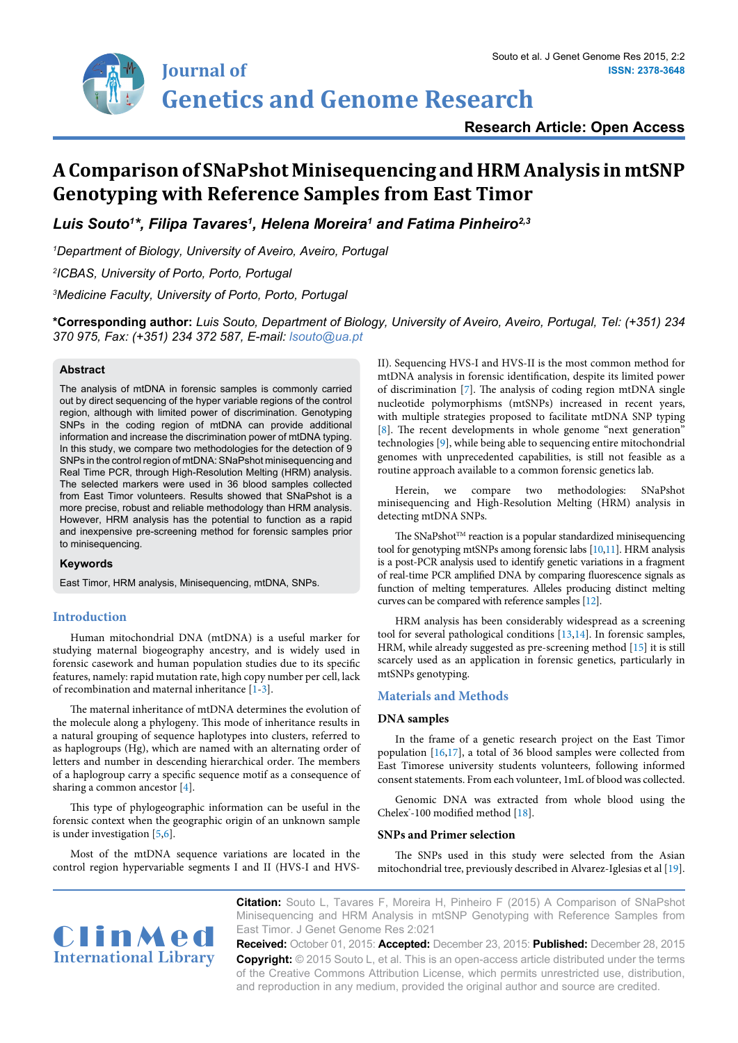

# **Research Article: Open Access**

# **A Comparison of SNaPshot Minisequencing and HRM Analysis in mtSNP Genotyping with Reference Samples from East Timor**

*Luis Souto1 \*, Filipa Tavares1 , Helena Moreira1 and Fatima Pinheiro2,3*

*1 Department of Biology, University of Aveiro, Aveiro, Portugal*

*2 ICBAS, University of Porto, Porto, Portugal*

*3 Medicine Faculty, University of Porto, Porto, Portugal*

**\*Corresponding author:** *Luis Souto, Department of Biology, University of Aveiro, Aveiro, Portugal, Tel: (+351) 234 370 975, Fax: (+351) 234 372 587, E-mail: lsouto@ua.pt*

#### **Abstract**

The analysis of mtDNA in forensic samples is commonly carried out by direct sequencing of the hyper variable regions of the control region, although with limited power of discrimination. Genotyping SNPs in the coding region of mtDNA can provide additional information and increase the discrimination power of mtDNA typing. In this study, we compare two methodologies for the detection of 9 SNPs in the control region of mtDNA: SNaPshot minisequencing and Real Time PCR, through High-Resolution Melting (HRM) analysis. The selected markers were used in 36 blood samples collected from East Timor volunteers. Results showed that SNaPshot is a more precise, robust and reliable methodology than HRM analysis. However, HRM analysis has the potential to function as a rapid and inexpensive pre-screening method for forensic samples prior to minisequencing.

#### **Keywords**

East Timor, HRM analysis, Minisequencing, mtDNA, SNPs.

# **Introduction**

Human mitochondrial DNA (mtDNA) is a useful marker for studying maternal biogeography ancestry, and is widely used in forensic casework and human population studies due to its specific features, namely: rapid mutation rate, high copy number per cell, lack of recombination and maternal inheritance [[1-](#page-4-13)[3](#page-4-14)].

The maternal inheritance of mtDNA determines the evolution of the molecule along a phylogeny. This mode of inheritance results in a natural grouping of sequence haplotypes into clusters, referred to as haplogroups (Hg), which are named with an alternating order of letters and number in descending hierarchical order. The members of a haplogroup carry a specific sequence motif as a consequence of sharing a common ancestor [[4](#page-4-15)].

This type of phylogeographic information can be useful in the forensic context when the geographic origin of an unknown sample is under investigation [[5](#page-4-16)[,6](#page-4-17)].

Most of the mtDNA sequence variations are located in the control region hypervariable segments I and II (HVS-I and HVS- II). Sequencing HVS-I and HVS-II is the most common method for mtDNA analysis in forensic identification, despite its limited power of discrimination [\[7\]](#page-4-0). The analysis of coding region mtDNA single nucleotide polymorphisms (mtSNPs) increased in recent years, with multiple strategies proposed to facilitate mtDNA SNP typing [[8](#page-4-1)]. The recent developments in whole genome "next generation" technologies [\[9](#page-4-2)], while being able to sequencing entire mitochondrial genomes with unprecedented capabilities, is still not feasible as a routine approach available to a common forensic genetics lab.

Herein, we compare two methodologies: SNaPshot minisequencing and High-Resolution Melting (HRM) analysis in detecting mtDNA SNPs.

The SNaPshot<sup>TM</sup> reaction is a popular standardized minisequencing tool for genotyping mtSNPs among forensic labs [\[10](#page-4-3)[,11\]](#page-4-4). HRM analysis is a post-PCR analysis used to identify genetic variations in a fragment of real-time PCR amplified DNA by comparing fluorescence signals as function of melting temperatures. Alleles producing distinct melting curves can be compared with reference samples [[12\]](#page-4-5).

HRM analysis has been considerably widespread as a screening tool for several pathological conditions  $[13,14]$  $[13,14]$  $[13,14]$  $[13,14]$ . In forensic samples, HRM, while already suggested as pre-screening method [[15](#page-4-8)] it is still scarcely used as an application in forensic genetics, particularly in mtSNPs genotyping.

# **Materials and Methods**

#### **DNA samples**

In the frame of a genetic research project on the East Timor population [\[16,](#page-4-9)[17\]](#page-4-10), a total of 36 blood samples were collected from East Timorese university students volunteers, following informed consent statements. From each volunteer, 1mL of blood was collected.

Genomic DNA was extracted from whole blood using the Chelex<sup>\*</sup>-100 modified method [\[18](#page-4-11)].

#### **SNPs and Primer selection**

The SNPs used in this study were selected from the Asian mitochondrial tree, previously described in Alvarez-Iglesias et al [[19\]](#page-4-12).



**Citation:** Souto L, Tavares F, Moreira H, Pinheiro F (2015) A Comparison of SNaPshot Minisequencing and HRM Analysis in mtSNP Genotyping with Reference Samples from East Timor. J Genet Genome Res 2:021

**Received:** October 01, 2015: **Accepted:** December 23, 2015: **Published:** December 28, 2015 **Copyright:** © 2015 Souto L, et al. This is an open-access article distributed under the terms of the Creative Commons Attribution License, which permits unrestricted use, distribution, and reproduction in any medium, provided the original author and source are credited.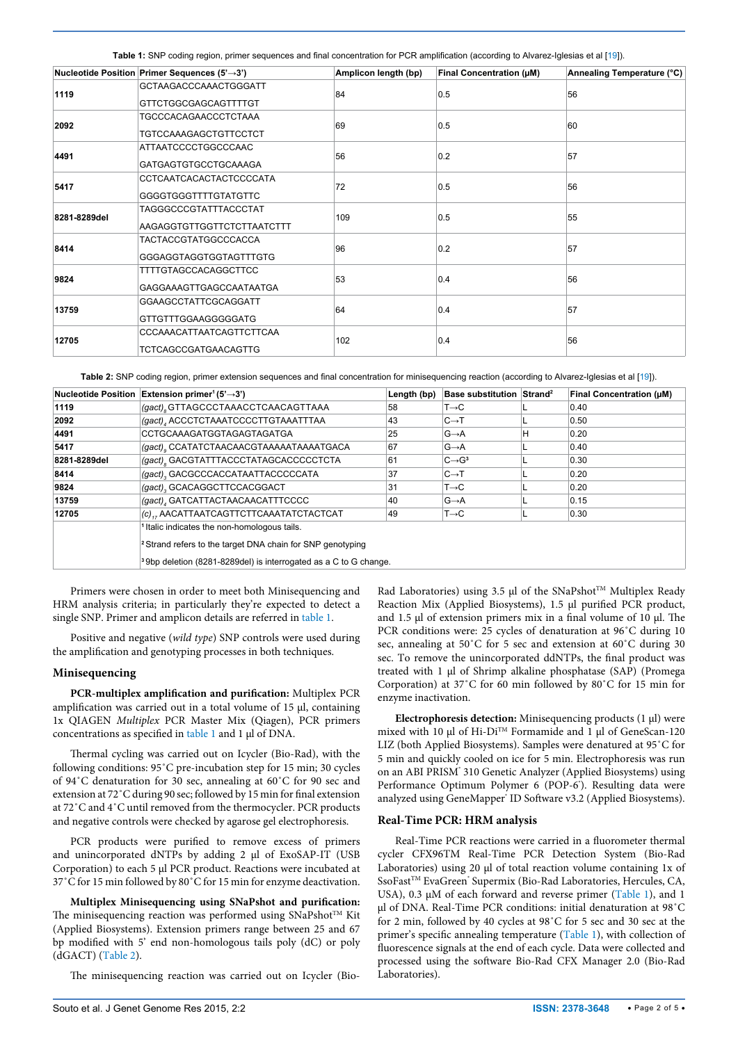<span id="page-1-0"></span>**Table 1:** SNP coding region, primer sequences and final concentration for PCR amplification (according to Alvarez-Iglesias et al [[19](#page-4-12)]).

|              | Nucleotide Position Primer Sequences (5'→3') | Amplicon length (bp) | Final Concentration (µM) | Annealing Temperature (°C) |  |
|--------------|----------------------------------------------|----------------------|--------------------------|----------------------------|--|
| 1119         | GCTAAGACCCAAACTGGGATT                        | 84                   | 0.5                      | 56                         |  |
|              | <b>GTTCTGGCGAGCAGTTTTGT</b>                  |                      |                          |                            |  |
| 2092         | <b>TGCCCACAGAACCCTCTAAA</b>                  |                      |                          |                            |  |
|              | <b>TGTCCAAAGAGCTGTTCCTCT</b>                 | 69                   | 0.5                      | 60                         |  |
| 4491         | <b>ATTAATCCCCTGGCCCAAC</b>                   |                      |                          |                            |  |
|              | <b>GATGAGTGTGCCTGCAAAGA</b>                  | 56                   | 0.2                      | 57                         |  |
| 5417         | CCTCAATCACACTACTCCCCATA                      |                      |                          |                            |  |
|              | <b>GGGGTGGGTTTTGTATGTTC</b>                  | 72                   | 0.5                      | 56                         |  |
| 8281-8289del | TAGGGCCCGTATTTACCCTAT                        |                      |                          |                            |  |
|              | AAGAGGTGTTGGTTCTCTTAATCTTT                   | 109                  | 0.5                      | 55                         |  |
| 8414         | <b>TACTACCGTATGGCCCACCA</b>                  |                      |                          |                            |  |
|              | GGGAGGTAGGTGGTAGTTTGTG                       | 96                   | 0.2                      | 57                         |  |
| 9824         | <b>TTTTGTAGCCACAGGCTTCC</b>                  |                      |                          |                            |  |
|              | GAGGAAAGTTGAGCCAATAATGA                      | 53                   | 0.4                      | 56                         |  |
| 13759        | <b>GGAAGCCTATTCGCAGGATT</b>                  |                      |                          |                            |  |
|              | GTTGTTTGGAAGGGGGATG                          | 64                   | 0.4                      | 57                         |  |
| 12705        | CCCAAACATTAATCAGTTCTTCAA                     |                      |                          |                            |  |
|              | <b>TCTCAGCCGATGAACAGTTG</b>                  | 102                  | 0.4                      | 56                         |  |

<span id="page-1-1"></span>**Table 2:** SNP coding region, primer extension sequences and final concentration for minisequencing reaction (according to Alvarez-Iglesias et al [[19\]](#page-4-12)).

| <b>Nucleotide Position</b> | Extension primer <sup>1</sup> (5' $\rightarrow$ 3')                                                                                                                                                              | Length (bp) | <b>Base substitution Strand<sup>2</sup></b> |   | <b>Final Concentration (µM)</b> |  |  |  |  |  |  |  |
|----------------------------|------------------------------------------------------------------------------------------------------------------------------------------------------------------------------------------------------------------|-------------|---------------------------------------------|---|---------------------------------|--|--|--|--|--|--|--|
| 1119                       | (gact) GTTAGCCCTAAACCTCAACAGTTAAA                                                                                                                                                                                | 58          | $T\rightarrow C$                            |   | 0.40                            |  |  |  |  |  |  |  |
| 2092                       | (gact), ACCCTCTAAATCCCCTTGTAAATTTAA                                                                                                                                                                              | 43          | $C \rightarrow T$                           |   | 0.50                            |  |  |  |  |  |  |  |
| 4491                       | CCTGCAAAGATGGTAGAGTAGATGA                                                                                                                                                                                        | 25          | $G \rightarrow A$                           | н | 0.20                            |  |  |  |  |  |  |  |
| 5417                       | (gact) CCATATCTAACAACGTAAAAATAAAATGACA                                                                                                                                                                           | 67          | $G \rightarrow A$                           |   | 0.40                            |  |  |  |  |  |  |  |
| 8281-8289del               | (gact), GACGTATTTACCCTATAGCACCCCCTCTA                                                                                                                                                                            | 61          | $C \rightarrow G^3$                         |   | 0.30                            |  |  |  |  |  |  |  |
| 8414                       | (gact), GACGCCCACCATAATTACCCCCATA                                                                                                                                                                                | 37          | $C \rightarrow T$                           |   | 0.20                            |  |  |  |  |  |  |  |
| 9824                       | (gact), GCACAGGCTTCCACGGACT                                                                                                                                                                                      | 31          | $T\rightarrow C$                            |   | 0.20                            |  |  |  |  |  |  |  |
| 13759                      | (gact), GATCATTACTAACAACATTTCCCC                                                                                                                                                                                 | 40          | $G \rightarrow A$                           |   | 0.15                            |  |  |  |  |  |  |  |
| 12705                      | (c), AACATTAATCAGTTCTTCAAATATCTACTCAT                                                                                                                                                                            | 49          | $T\rightarrow C$                            |   | 0.30                            |  |  |  |  |  |  |  |
|                            | <sup>1</sup> Italic indicates the non-homologous tails.<br><sup>2</sup> Strand refers to the target DNA chain for SNP genotyping<br><sup>3</sup> 9bp deletion (8281-8289del) is interrogated as a C to G change. |             |                                             |   |                                 |  |  |  |  |  |  |  |

Primers were chosen in order to meet both Minisequencing and HRM analysis criteria; in particularly they're expected to detect a single SNP. Primer and amplicon details are referred in [table 1](#page-1-0).

Positive and negative (*wild type*) SNP controls were used during the amplification and genotyping processes in both techniques.

## **Minisequencing**

**PCR-multiplex amplification and purification:** Multiplex PCR amplification was carried out in a total volume of 15 µl, containing 1x QIAGEN *Multiplex* PCR Master Mix (Qiagen), PCR primers concentrations as specified in [table 1](#page-1-0) and 1 µl of DNA.

Thermal cycling was carried out on Icycler (Bio-Rad), with the following conditions: 95˚C pre-incubation step for 15 min; 30 cycles of 94˚C denaturation for 30 sec, annealing at 60˚C for 90 sec and extension at 72˚C during 90 sec; followed by 15 min for final extension at 72˚C and 4˚C until removed from the thermocycler. PCR products and negative controls were checked by agarose gel electrophoresis.

PCR products were purified to remove excess of primers and unincorporated dNTPs by adding 2 µl of ExoSAP-IT (USB Corporation) to each 5 µl PCR product. Reactions were incubated at 37˚C for 15 min followed by 80˚C for 15 min for enzyme deactivation.

**Multiplex Minisequencing using SNaPshot and purification:**  The minisequencing reaction was performed using  $SNaPshot^{TM}$  Kit (Applied Biosystems). Extension primers range between 25 and 67 bp modified with 5' end non-homologous tails poly (dC) or poly (dGACT) ([Table 2](#page-1-1)).

The minisequencing reaction was carried out on Icycler (Bio-

Rad Laboratories) using 3.5 µl of the SNaPshot<sup>TM</sup> Multiplex Ready Reaction Mix (Applied Biosystems), 1.5 µl purified PCR product, and 1.5 µl of extension primers mix in a final volume of 10 µl. The PCR conditions were: 25 cycles of denaturation at 96˚C during 10 sec, annealing at 50˚C for 5 sec and extension at 60˚C during 30 sec. To remove the unincorporated ddNTPs, the final product was treated with 1 µl of Shrimp alkaline phosphatase (SAP) (Promega Corporation) at 37˚C for 60 min followed by 80˚C for 15 min for enzyme inactivation.

**Electrophoresis detection:** Minisequencing products (1 µl) were mixed with 10 µl of Hi-Di™ Formamide and 1 µl of GeneScan-120 LIZ (both Applied Biosystems). Samples were denatured at 95˚C for 5 min and quickly cooled on ice for 5 min. Electrophoresis was run on an ABI PRISM' 310 Genetic Analyzer (Applied Biosystems) using Performance Optimum Polymer 6 (POP-6<sup>\*</sup>). Resulting data were analyzed using GeneMapper<sup>®</sup> ID Software v3.2 (Applied Biosystems).

#### **Real-Time PCR: HRM analysis**

Real-Time PCR reactions were carried in a fluorometer thermal cycler CFX96TM Real-Time PCR Detection System (Bio-Rad Laboratories) using 20 µl of total reaction volume containing 1x of SsoFast<sup>™</sup> EvaGreen' Supermix (Bio-Rad Laboratories, Hercules, CA, USA), 0.3  $\mu$ M of each forward and reverse primer [\(Table 1\)](#page-1-0), and 1 µl of DNA. Real-Time PCR conditions: initial denaturation at 98˚C for 2 min, followed by 40 cycles at 98˚C for 5 sec and 30 sec at the primer's specific annealing temperature ([Table 1\)](#page-1-0), with collection of fluorescence signals at the end of each cycle. Data were collected and processed using the software Bio-Rad CFX Manager 2.0 (Bio-Rad Laboratories).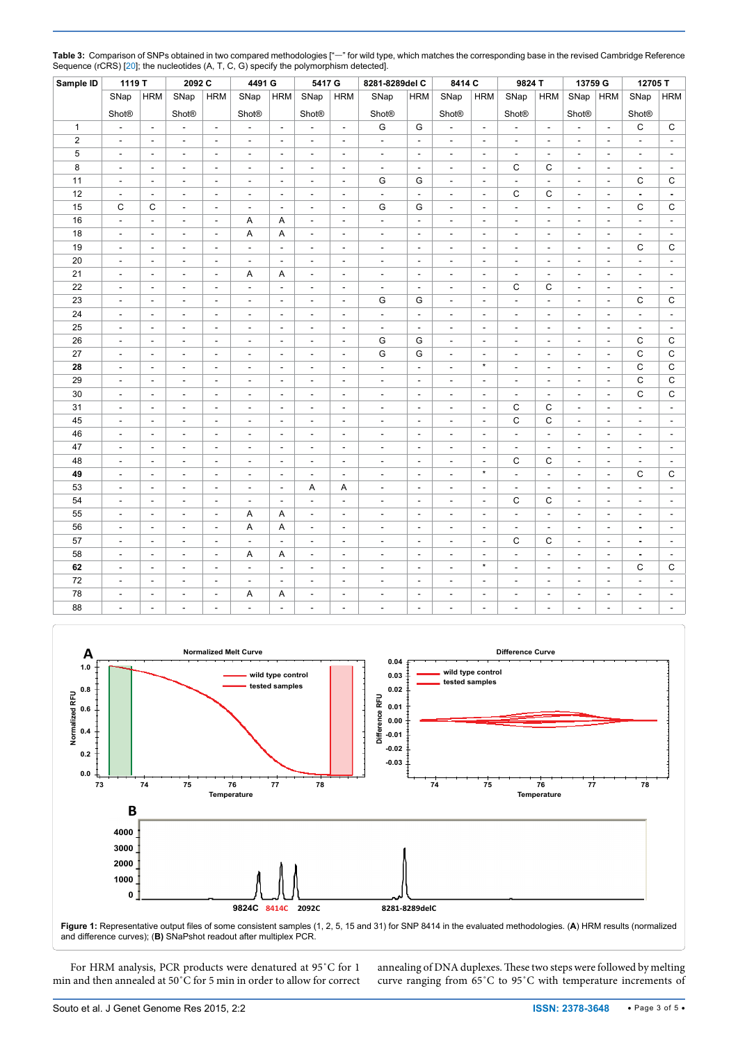|              | $\sim$ $\sim$            |                          |                          |                          |                          |                          |                          |                          |                          |                          |                          |                          |                          |                          |                          |                          |                |                          |
|--------------|--------------------------|--------------------------|--------------------------|--------------------------|--------------------------|--------------------------|--------------------------|--------------------------|--------------------------|--------------------------|--------------------------|--------------------------|--------------------------|--------------------------|--------------------------|--------------------------|----------------|--------------------------|
| Sample ID    | 1119 T                   |                          | 2092 C                   |                          | 4491 G                   |                          | 5417 G                   |                          | 8281-8289del C           |                          | 8414 C                   |                          | 9824 T                   |                          | 13759 G                  |                          | 12705T         |                          |
|              | SNap                     | <b>HRM</b>               | SNap                     | <b>HRM</b>               | SNap                     | <b>HRM</b>               | SNap                     | <b>HRM</b>               | SNap                     | <b>HRM</b>               | SNap                     | <b>HRM</b>               | SNap                     | <b>HRM</b>               | SNap                     | <b>HRM</b>               | SNap           | <b>HRM</b>               |
|              | <b>Shot®</b>             |                          | <b>Shot®</b>             |                          | <b>Shot®</b>             |                          | <b>Shot®</b>             |                          | <b>Shot®</b>             |                          | <b>Shot®</b>             |                          | <b>Shot®</b>             |                          | <b>Shot®</b>             |                          | <b>Shot®</b>   |                          |
| $\mathbf{1}$ | $\overline{\phantom{a}}$ | $\overline{\phantom{a}}$ | $\overline{\phantom{a}}$ | $\overline{\phantom{a}}$ | $\overline{\phantom{a}}$ | $\overline{\phantom{a}}$ | $\overline{\phantom{a}}$ | $\overline{\phantom{a}}$ | G                        | G                        |                          | $\overline{\phantom{a}}$ | $\overline{\phantom{a}}$ | $\overline{\phantom{a}}$ | $\overline{\phantom{a}}$ | $\overline{\phantom{a}}$ | C              | С                        |
| $\sqrt{2}$   | $\overline{\phantom{a}}$ | $\overline{\phantom{a}}$ | $\overline{\phantom{a}}$ | $\overline{a}$           | $\overline{\phantom{a}}$ | $\sim$                   | $\blacksquare$           | $\overline{\phantom{a}}$ | $\overline{\phantom{a}}$ | $\overline{\phantom{a}}$ | $\sim$                   | $\mathbf{r}$             | $\blacksquare$           | $\sim$                   | $\overline{\phantom{a}}$ | L.                       | L,             | $\overline{\phantom{a}}$ |
| 5            | $\overline{\phantom{a}}$ | $\overline{\phantom{a}}$ | $\overline{\phantom{a}}$ | ÷                        | $\sim$                   | $\sim$                   | $\overline{\phantom{a}}$ | $\overline{a}$           | $\overline{\phantom{a}}$ | ÷.                       | $\sim$                   | $\overline{a}$           | $\mathbf{r}$             | $\sim$                   | $\overline{\phantom{a}}$ | $\overline{a}$           | $\overline{a}$ | $\overline{\phantom{a}}$ |
| 8            | $\overline{\phantom{a}}$ | $\overline{\phantom{a}}$ | $\overline{a}$           | $\overline{\phantom{a}}$ | $\overline{\phantom{a}}$ | $\overline{\phantom{a}}$ | $\overline{\phantom{a}}$ | $\overline{\phantom{a}}$ | $\overline{\phantom{a}}$ | $\overline{\phantom{a}}$ | $\overline{a}$           | $\overline{\phantom{a}}$ | C                        | C                        | $\overline{\phantom{a}}$ | ÷,                       | $\overline{a}$ | $\overline{a}$           |
| 11           | $\overline{\phantom{a}}$ | $\overline{\phantom{a}}$ | $\overline{a}$           | $\overline{a}$           | ÷,                       | $\sim$                   | L,                       | ÷,                       | G                        | G                        | L,                       | $\overline{\phantom{a}}$ | L.                       | L,                       | $\overline{\phantom{a}}$ | $\overline{a}$           | C              | C                        |
| 12           | $\overline{\phantom{a}}$ | $\overline{\phantom{a}}$ | ÷                        | ÷                        | $\overline{a}$           | $\sim$                   | $\sim$                   | $\overline{\phantom{a}}$ | $\overline{\phantom{a}}$ | $\overline{a}$           | $\overline{a}$           | $\overline{\phantom{a}}$ | $\mathsf{C}$             | C                        | $\mathbf{r}$             | $\sim$                   | ä,             | $\blacksquare$           |
| 15           | C                        | C                        | $\overline{a}$           | $\overline{\phantom{a}}$ | $\overline{a}$           | $\overline{\phantom{a}}$ | $\overline{\phantom{a}}$ | $\overline{a}$           | G                        | G                        |                          | ÷,                       | $\overline{\phantom{a}}$ | $\overline{a}$           | $\overline{\phantom{a}}$ | $\overline{\phantom{a}}$ | C              | C                        |
| 16           | $\overline{\phantom{a}}$ | ÷,                       | L,                       | $\sim$                   | A                        | A                        | $\overline{\phantom{a}}$ | $\overline{\phantom{a}}$ | L.                       | $\overline{a}$           | L,                       | ÷,                       |                          | $\overline{a}$           | L.                       | L.                       | L,             |                          |
| 18           | $\overline{\phantom{a}}$ | $\overline{\phantom{a}}$ | $\overline{a}$           | L.                       | Α                        | A                        | $\overline{\phantom{a}}$ | $\frac{1}{2}$            | $\overline{\phantom{a}}$ | ÷                        | $\overline{a}$           | $\overline{\phantom{a}}$ | $\sim$                   | $\overline{\phantom{a}}$ | $\overline{\phantom{a}}$ | $\overline{a}$           | $\frac{1}{2}$  | $\overline{\phantom{a}}$ |
| 19           | $\overline{\phantom{a}}$ | $\overline{\phantom{a}}$ | $\overline{a}$           | $\overline{\phantom{a}}$ | $\overline{\phantom{a}}$ | $\overline{\phantom{a}}$ | $\overline{\phantom{a}}$ | ÷,                       | $\overline{a}$           | $\overline{\phantom{a}}$ | $\overline{\phantom{a}}$ | $\overline{\phantom{a}}$ | $\overline{\phantom{a}}$ | $\overline{\phantom{a}}$ | $\overline{\phantom{a}}$ | $\overline{\phantom{a}}$ | C              | С                        |
| 20           | $\overline{\phantom{a}}$ | $\overline{\phantom{a}}$ | $\overline{a}$           | $\overline{a}$           | $\overline{a}$           | ÷.                       | L,                       | L,                       | L,                       | $\overline{a}$           | L.                       | L.                       | $\sim$                   | L,                       | L.                       | $\overline{a}$           | L,             | L,                       |
| 21           | $\overline{a}$           | ÷                        | $\overline{a}$           | $\sim$                   | Α                        | A                        | $\sim$                   | $\overline{\phantom{a}}$ | ÷.                       | ÷                        | $\overline{a}$           | $\overline{\phantom{a}}$ | $\sim$                   | $\sim$                   | $\overline{\phantom{a}}$ | $\overline{a}$           | $\overline{a}$ | $\overline{a}$           |
| 22           | $\overline{\phantom{a}}$ | $\overline{\phantom{a}}$ | $\overline{a}$           | $\overline{\phantom{a}}$ |                          | $\overline{a}$           | $\overline{\phantom{a}}$ | $\overline{a}$           |                          | $\overline{a}$           |                          | ÷,                       | C                        | C                        | $\overline{\phantom{a}}$ | $\overline{\phantom{a}}$ | $\overline{a}$ |                          |
| 23           | $\overline{\phantom{a}}$ | $\overline{\phantom{a}}$ | $\overline{a}$           | J.                       | ÷.                       | $\overline{\phantom{a}}$ | L,                       | $\overline{\phantom{a}}$ | G                        | G                        | $\overline{a}$           | ÷,                       |                          | $\overline{a}$           | L.                       | $\overline{\phantom{a}}$ | $\mathsf C$    | C                        |
| 24           | $\overline{\phantom{a}}$ | $\overline{a}$           | $\overline{a}$           | $\overline{a}$           | $\sim$                   | $\blacksquare$           | $\overline{\phantom{a}}$ | $\overline{\phantom{a}}$ | $\overline{\phantom{a}}$ | $\overline{\phantom{a}}$ | $\overline{a}$           | $\blacksquare$           | $\sim$                   | $\sim$                   | $\overline{\phantom{a}}$ | $\overline{\phantom{a}}$ | L,             | $\overline{\phantom{a}}$ |
| 25           | $\overline{\phantom{a}}$ | $\overline{\phantom{a}}$ | $\overline{a}$           | $\overline{a}$           | $\overline{a}$           | $\overline{\phantom{a}}$ | $\overline{\phantom{a}}$ | $\overline{\phantom{a}}$ | L,                       | $\overline{\phantom{a}}$ | L,                       | $\overline{\phantom{a}}$ | $\sim$                   | $\overline{a}$           | $\overline{\phantom{a}}$ | $\overline{\phantom{a}}$ | $\overline{a}$ | $\overline{\phantom{a}}$ |
| 26           | $\sim$                   | $\overline{\phantom{a}}$ | $\overline{a}$           | $\overline{a}$           | $\overline{a}$           | $\sim$                   | L,                       | $\overline{\phantom{a}}$ | G                        | G                        | L,                       | L,                       | ÷.                       | $\overline{a}$           | L.                       | $\overline{\phantom{a}}$ | C              | C                        |
| 27           | $\blacksquare$           | ÷                        | $\overline{a}$           | $\overline{a}$           | ÷                        | ÷.                       | $\overline{\phantom{a}}$ | $\blacksquare$           | G                        | G                        | $\overline{a}$           | ÷                        | $\sim$                   | $\overline{a}$           | $\blacksquare$           | $\sim$                   | $\mathsf{C}$   | C                        |
| 28           | $\overline{\phantom{a}}$ | $\overline{\phantom{a}}$ | $\overline{a}$           | $\overline{\phantom{a}}$ | $\overline{a}$           | $\overline{\phantom{a}}$ | $\overline{\phantom{a}}$ | $\overline{\phantom{a}}$ | $\overline{a}$           | $\overline{a}$           | $\overline{a}$           | $\star$                  | $\overline{\phantom{a}}$ | $\overline{a}$           | $\overline{\phantom{a}}$ | $\overline{\phantom{a}}$ | $\mathsf C$    | C                        |
| 29           | $\mathbf{r}$             | $\overline{a}$           | L,                       | L.                       | ÷.                       | $\overline{\phantom{a}}$ | $\overline{\phantom{a}}$ | $\overline{a}$           | $\overline{a}$           | L.                       | $\overline{a}$           | $\overline{a}$           | $\overline{\phantom{a}}$ | ÷,                       | $\overline{\phantom{a}}$ | $\sim$                   | $\mathsf C$    | C                        |
| 30           | $\overline{\phantom{a}}$ | $\blacksquare$           | $\overline{\phantom{a}}$ | $\overline{\phantom{a}}$ | $\blacksquare$           | $\blacksquare$           | $\overline{\phantom{a}}$ | $\overline{\phantom{a}}$ | $\overline{\phantom{a}}$ | $\blacksquare$           | $\overline{\phantom{a}}$ | $\overline{\phantom{a}}$ | $\overline{\phantom{a}}$ | $\overline{\phantom{a}}$ | $\overline{\phantom{a}}$ | $\overline{\phantom{a}}$ | $\mathsf C$    | C                        |
| 31           | $\overline{\phantom{a}}$ | $\overline{\phantom{a}}$ | $\overline{\phantom{a}}$ | ÷,                       | $\sim$                   | $\overline{\phantom{a}}$ | $\overline{\phantom{a}}$ | $\frac{1}{2}$            | $\overline{a}$           | $\overline{\phantom{a}}$ | $\overline{a}$           | $\overline{\phantom{a}}$ | $\mathsf C$              | C                        | $\overline{\phantom{a}}$ | $\overline{\phantom{a}}$ | L,             | L,                       |
| 45           | $\overline{\phantom{a}}$ | $\overline{\phantom{a}}$ | $\overline{\phantom{a}}$ | $\overline{\phantom{a}}$ | $\overline{\phantom{a}}$ | $\sim$                   | $\overline{a}$           | $\overline{a}$           | $\overline{a}$           | $\overline{\phantom{a}}$ | $\overline{\phantom{a}}$ | $\frac{1}{2}$            | $\mathsf{C}$             | C                        | $\overline{\phantom{a}}$ | $\overline{\phantom{a}}$ | $\overline{a}$ | ÷,                       |
| 46           | $\sim$                   | ÷                        | $\overline{a}$           | $\overline{\phantom{a}}$ | $\sim$                   | $\blacksquare$           | $\blacksquare$           | $\overline{\phantom{a}}$ | ÷.                       | $\overline{a}$           | $\overline{a}$           | ÷.                       | $\overline{a}$           | $\overline{a}$           | $\blacksquare$           | $\overline{a}$           | ٠              | $\overline{\phantom{a}}$ |
| 47           | $\overline{\phantom{a}}$ | $\overline{\phantom{a}}$ | $\overline{\phantom{a}}$ | $\overline{\phantom{a}}$ | $\overline{a}$           | $\overline{\phantom{a}}$ | $\overline{\phantom{a}}$ | $\overline{a}$           | $\overline{a}$           | $\overline{\phantom{a}}$ | $\overline{a}$           | ÷,                       | $\overline{\phantom{a}}$ | $\overline{\phantom{a}}$ | $\overline{\phantom{a}}$ | $\overline{\phantom{a}}$ | $\overline{a}$ | $\overline{\phantom{a}}$ |
| 48           | $\overline{\phantom{a}}$ | $\overline{\phantom{a}}$ | $\overline{a}$           | $\overline{a}$           | $\overline{a}$           | $\overline{\phantom{a}}$ | $\frac{1}{2}$            | $\overline{a}$           | L,                       | $\overline{a}$           | $\overline{a}$           | $\overline{\phantom{a}}$ | $\mathbf C$              | C                        | $\frac{1}{2}$            | ÷,                       | $\overline{a}$ |                          |
| 49           | $\overline{\phantom{a}}$ | $\overline{\phantom{a}}$ | $\overline{\phantom{a}}$ | $\overline{\phantom{a}}$ | $\overline{\phantom{a}}$ | $\overline{\phantom{a}}$ | $\overline{\phantom{a}}$ | $\overline{\phantom{a}}$ | $\overline{\phantom{a}}$ | $\overline{\phantom{a}}$ | $\overline{\phantom{a}}$ | $\star$                  | $\blacksquare$           | $\blacksquare$           | $\overline{\phantom{a}}$ | $\overline{\phantom{a}}$ | C              | С                        |
| 53           | $\overline{\phantom{a}}$ | $\overline{\phantom{a}}$ | $\overline{\phantom{a}}$ | $\overline{\phantom{a}}$ | $\overline{\phantom{a}}$ | $\overline{\phantom{a}}$ | Α                        | Α                        | $\overline{\phantom{a}}$ | $\overline{\phantom{a}}$ | $\overline{a}$           | $\overline{\phantom{a}}$ | $\overline{\phantom{a}}$ | $\overline{\phantom{a}}$ | $\overline{\phantom{a}}$ | $\overline{\phantom{a}}$ | $\overline{a}$ | L,                       |
| 54           | $\overline{\phantom{a}}$ | $\overline{\phantom{a}}$ | $\overline{\phantom{a}}$ | $\overline{a}$           | $\overline{a}$           | $\sim$                   | ÷,                       | L,                       | $\overline{a}$           | $\overline{a}$           | $\overline{\phantom{a}}$ | $\frac{1}{2}$            | C                        | C                        | $\overline{\phantom{a}}$ | ٠                        | $\overline{a}$ | ÷,                       |
| 55           | $\blacksquare$           | $\blacksquare$           | $\overline{\phantom{a}}$ | $\overline{a}$           | Α                        | A                        | $\blacksquare$           | ÷,                       | L,                       | $\overline{a}$           | $\overline{a}$           | $\blacksquare$           | $\blacksquare$           | $\blacksquare$           | $\blacksquare$           | L,                       | ٠              | ÷,                       |
| 56           | $\overline{\phantom{a}}$ | $\overline{\phantom{a}}$ | $\overline{\phantom{a}}$ | $\overline{\phantom{a}}$ | A                        | A                        | $\overline{\phantom{a}}$ | $\overline{a}$           | $\overline{a}$           | $\overline{\phantom{a}}$ | $\overline{\phantom{a}}$ | $\overline{\phantom{a}}$ | $\overline{\phantom{a}}$ | $\overline{a}$           | $\overline{\phantom{a}}$ | $\overline{\phantom{a}}$ | ä,             | $\overline{\phantom{a}}$ |
| 57           | $\overline{\phantom{a}}$ | $\overline{\phantom{a}}$ | $\overline{a}$           | $\overline{a}$           |                          | ÷.                       | $\frac{1}{2}$            | $\overline{a}$           | L,                       | $\overline{a}$           | J.                       | ÷,                       | $\mathsf C$              | C                        | $\overline{\phantom{a}}$ | $\overline{\phantom{a}}$ | ÷              | $\overline{a}$           |
| 58           | $\overline{\phantom{a}}$ | $\blacksquare$           | $\overline{\phantom{a}}$ | $\sim$                   | Α                        | A                        | $\overline{\phantom{a}}$ | $\overline{\phantom{a}}$ | ÷,                       | $\overline{\phantom{a}}$ | ÷,                       | $\overline{\phantom{a}}$ | $\overline{a}$           | $\overline{a}$           | ÷,                       | ÷,                       | ä,             | $\blacksquare$           |
| 62           | $\overline{\phantom{a}}$ | $\mathbf{r}$             | $\sim$                   | $\sim$                   | $\sim$                   | $\sim$                   | $\overline{\phantom{a}}$ | $\overline{\phantom{a}}$ | ÷,                       | $\overline{\phantom{a}}$ | $\overline{a}$           | $\star$                  | $\sim$                   | $\sim$                   | $\overline{\phantom{a}}$ | $\sim$                   | C              | C                        |
| 72           | $\overline{\phantom{a}}$ | $\overline{\phantom{a}}$ | $\overline{\phantom{a}}$ | $\blacksquare$           | $\overline{a}$           | $\sim$                   | ÷,                       | ٠                        | L,                       | $\overline{\phantom{a}}$ | $\overline{a}$           | ٠                        | $\overline{a}$           | $\overline{a}$           | $\overline{\phantom{a}}$ | ٠                        | L,             | L,                       |
| 78           | $\overline{a}$           | ÷                        |                          | $\sim$                   | Α                        | A                        | L,                       | L,                       |                          |                          |                          |                          |                          |                          | L,                       | L,                       |                | ÷,                       |
| 88           | $\overline{\phantom{a}}$ | $\overline{a}$           |                          |                          | $\overline{a}$           | $\sim$                   | ä,                       | L,                       |                          |                          | ÷,                       | ٠                        |                          |                          | $\overline{\phantom{a}}$ | ٠                        |                | $\overline{\phantom{a}}$ |

<span id="page-2-0"></span>**Table 3:** Comparison of SNPs obtained in two compared methodologies ["—" for wild type, which matches the corresponding base in the revised Cambridge Reference Sequence (rCRS) [20]; the nucleotides (A, T, C, G) specify the polymorphism detected].

<span id="page-2-1"></span>

For HRM analysis, PCR products were denatured at 95˚C for 1 min and then annealed at 50˚C for 5 min in order to allow for correct

annealing of DNA duplexes. These two steps were followed by melting curve ranging from 65˚C to 95˚C with temperature increments of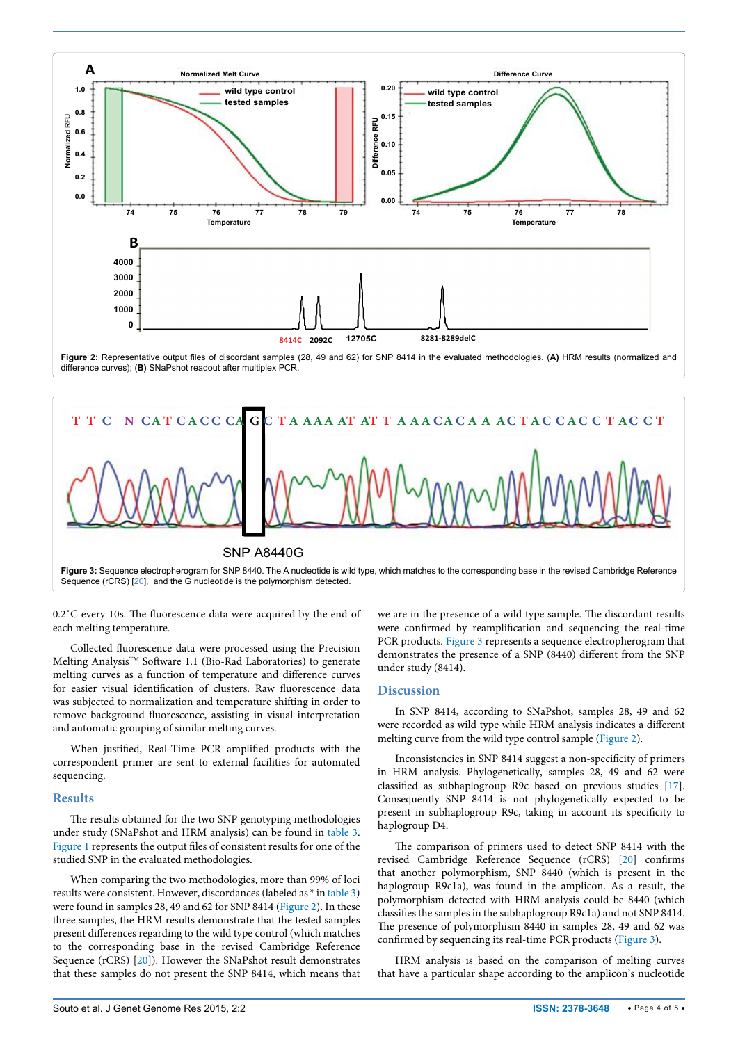<span id="page-3-1"></span>

<span id="page-3-0"></span>



0.2˚C every 10s. The fluorescence data were acquired by the end of each melting temperature.

Collected fluorescence data were processed using the Precision Melting Analysis™ Software 1.1 (Bio-Rad Laboratories) to generate melting curves as a function of temperature and difference curves for easier visual identification of clusters. Raw fluorescence data was subjected to normalization and temperature shifting in order to remove background fluorescence, assisting in visual interpretation and automatic grouping of similar melting curves.

When justified, Real-Time PCR amplified products with the correspondent primer are sent to external facilities for automated sequencing.

#### **Results**

The results obtained for the two SNP genotyping methodologies under study (SNaPshot and HRM analysis) can be found in [table 3](#page-2-0). [Figure 1](#page-2-1) represents the output files of consistent results for one of the studied SNP in the evaluated methodologies.

When comparing the two methodologies, more than 99% of loci results were consistent. However, discordances (labeled as \* in [table 3](#page-2-0)) were found in samples 28, 49 and 62 for SNP 8414 ([Figure 2](#page-3-1)). In these three samples, the HRM results demonstrate that the tested samples present differences regarding to the wild type control (which matches to the corresponding base in the revised Cambridge Reference Sequence (rCRS) [[20](#page-4-18)]). However the SNaPshot result demonstrates that these samples do not present the SNP 8414, which means that we are in the presence of a wild type sample. The discordant results were confirmed by reamplification and sequencing the real-time PCR products. [Figure 3](#page-3-0) represents a sequence electropherogram that demonstrates the presence of a SNP (8440) different from the SNP under study (8414).

## **Discussion**

In SNP 8414, according to SNaPshot, samples 28, 49 and 62 were recorded as wild type while HRM analysis indicates a different melting curve from the wild type control sample ([Figure 2\)](#page-3-1).

Inconsistencies in SNP 8414 suggest a non-specificity of primers in HRM analysis. Phylogenetically, samples 28, 49 and 62 were classified as subhaplogroup R9c based on previous studies [[17\]](#page-4-10). Consequently SNP 8414 is not phylogenetically expected to be present in subhaplogroup R9c, taking in account its specificity to haplogroup D4.

The comparison of primers used to detect SNP 8414 with the revised Cambridge Reference Sequence (rCRS) [\[20\]](#page-4-18) confirms that another polymorphism, SNP 8440 (which is present in the haplogroup R9c1a), was found in the amplicon. As a result, the polymorphism detected with HRM analysis could be 8440 (which classifies the samples in the subhaplogroup R9c1a) and not SNP 8414. The presence of polymorphism 8440 in samples 28, 49 and 62 was confirmed by sequencing its real-time PCR products ([Figure 3\)](#page-3-0).

HRM analysis is based on the comparison of melting curves that have a particular shape according to the amplicon's nucleotide